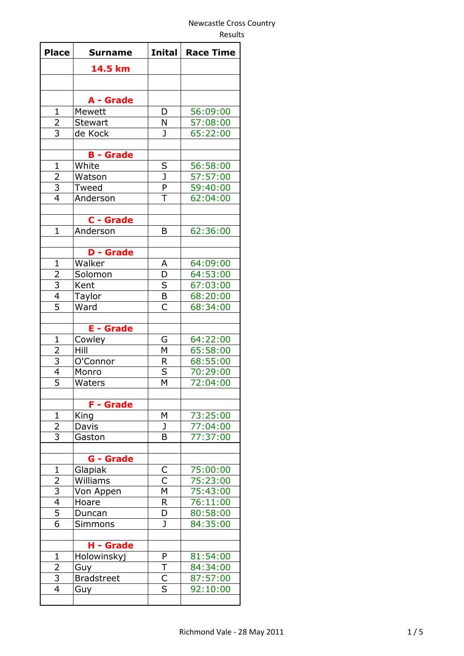| <b>Place</b>            | <b>Surname</b>    | <b>Inital</b>           | <b>Race Time</b> |
|-------------------------|-------------------|-------------------------|------------------|
|                         | 14.5 km           |                         |                  |
|                         |                   |                         |                  |
|                         | A - Grade         |                         |                  |
| $\mathbf 1$             | Mewett            | D                       | 56:09:00         |
| $\overline{2}$          | <b>Stewart</b>    | N                       | 57:08:00         |
| 3                       | de Kock           | $\mathbf{J}$            | 65:22:00         |
|                         |                   |                         |                  |
|                         | <b>B</b> - Grade  |                         |                  |
| $\mathbf 1$             | White             | $\overline{\mathsf{S}}$ | 56:58:00         |
| $\overline{2}$          | Watson            | $\overline{\texttt{J}}$ | 57:57:00         |
| $\overline{3}$          | Tweed             | $\overline{P}$          | 59:40:00         |
| $\overline{4}$          | Anderson          | T                       | 62:04:00         |
|                         |                   |                         |                  |
|                         | C - Grade         |                         |                  |
| $\mathbf{1}$            | Anderson          | B                       | 62:36:00         |
|                         |                   |                         |                  |
|                         | <b>D</b> - Grade  |                         |                  |
| $\mathbf 1$             | Walker            | A                       | 64:09:00         |
| $\overline{2}$          | Solomon           | D                       | 64:53:00         |
|                         | Kent              | $\overline{\mathsf{s}}$ | 67:03:00         |
| $\frac{3}{4}$           | Taylor            | $\overline{B}$          | 68:20:00         |
|                         | Ward              | Ċ                       | 68:34:00         |
|                         |                   |                         |                  |
|                         | <b>E</b> - Grade  |                         |                  |
| 1                       | Cowley            | G                       | 64:22:00         |
| $\overline{2}$          | Hill              | M                       | 65:58:00         |
| $\frac{3}{4}$           | O'Connor          | R                       | 68:55:00         |
|                         | Monro             | $\overline{\mathsf{s}}$ | 70:29:00         |
| $\overline{5}$          | Waters            | M                       | 72:04:00         |
|                         | <b>F</b> - Grade  |                         |                  |
| $\mathbf 1$             | King              | М                       | 73:25:00         |
| $\overline{2}$          | Davis             | J                       | 77:04:00         |
| $\overline{3}$          | Gaston            | B                       | 77:37:00         |
|                         |                   |                         |                  |
|                         | G - Grade         |                         |                  |
| $\mathbf 1$             | Glapiak           |                         | 75:00:00         |
| $\overline{2}$          | Williams          | $rac{C}{C}$             | 75:23:00         |
| $\overline{\mathbf{3}}$ | Von Appen         | M                       | 75:43:00         |
| $\overline{4}$          | Hoare             | R                       | 76:11:00         |
| $\overline{5}$          | Duncan            | D                       | 80:58:00         |
| $\overline{6}$          | Simmons           | J                       | 84:35:00         |
|                         |                   |                         |                  |
|                         | H - Grade         |                         |                  |
| $\mathbf{1}$            | Holowinskyj       | P                       | 81:54:00         |
| 2                       | Guy               | T                       | 84:34:00         |
| 3                       | <b>Bradstreet</b> | $rac{\overline{C}}{S}$  | 87:57:00         |
| $\overline{4}$          | Guy               |                         | 92:10:00         |
|                         |                   |                         |                  |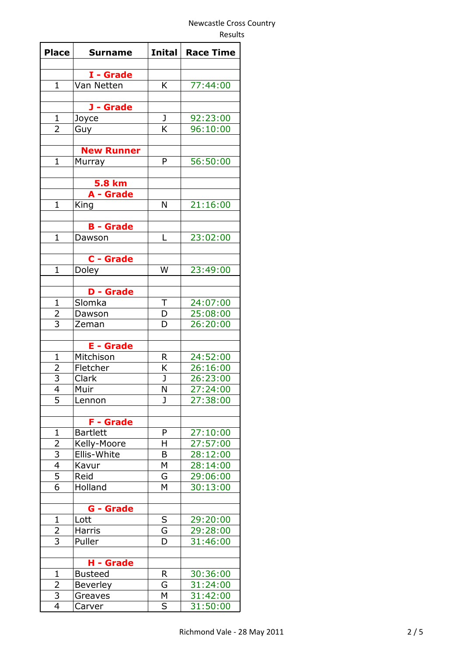| <b>Place</b>                     | <b>Surname</b>    | Inital | <b>Race Time</b> |
|----------------------------------|-------------------|--------|------------------|
|                                  |                   |        |                  |
|                                  | I - Grade         |        |                  |
| $\mathbf{1}$                     | Van Netten        | K      | 77:44:00         |
|                                  | J - Grade         |        |                  |
| $\mathbf{1}$                     | Joyce             | J      | 92:23:00         |
| 2                                | Guy               | K      | 96:10:00         |
|                                  |                   |        |                  |
|                                  | <b>New Runner</b> |        |                  |
| $\mathbf{1}$                     | Murray            | P      | 56:50:00         |
|                                  |                   |        |                  |
|                                  | <b>5.8 km</b>     |        |                  |
|                                  | A - Grade         |        |                  |
| $\mathbf 1$                      | King              | N      | 21:16:00         |
|                                  |                   |        |                  |
|                                  | <b>B</b> - Grade  |        |                  |
| $\mathbf{1}$                     | Dawson            | L      | 23:02:00         |
|                                  |                   |        |                  |
|                                  | C - Grade         |        |                  |
| $\mathbf{1}$                     | <b>Doley</b>      | W      | 23:49:00         |
|                                  | <b>D</b> - Grade  |        |                  |
| $\mathbf{1}$                     | Slomka            | $\top$ | 24:07:00         |
|                                  | Dawson            | D      | 25:08:00         |
| $rac{2}{3}$                      | Zeman             | D      | 26:20:00         |
|                                  |                   |        |                  |
|                                  | <b>E</b> - Grade  |        |                  |
| 1                                | Mitchison         | R      | 24:52:00         |
| $\overline{2}$                   | Fletcher          | K      | 26:16:00         |
| 3                                | Clark             | J      | 26:23:00         |
| $\overline{\mathcal{A}}$         | Muir              | N      | 27:24:00         |
| 5                                | Lennon            | J      | 27:38:00         |
|                                  |                   |        |                  |
|                                  | <b>F</b> - Grade  |        |                  |
| $\mathbf 1$                      | <b>Bartlett</b>   | P      | 27:10:00         |
| $\overline{2}$                   | Kelly-Moore       | н      | 27:57:00         |
| $\overline{3}$                   | Ellis-White       | B      | 28:12:00         |
| 4                                | Kavur             | M      | 28:14:00         |
| $\overline{5}$<br>$\overline{6}$ | Reid<br>Holland   | G<br>M | 29:06:00         |
|                                  |                   |        | 30:13:00         |
|                                  | <b>G</b> - Grade  |        |                  |
| $\mathbf{1}$                     | Lott              | S      | 29:20:00         |
| 2                                | Harris            | G      | 29:28:00         |
| 3                                | Puller            | D      | 31:46:00         |
|                                  |                   |        |                  |
|                                  | H - Grade         |        |                  |
| $\mathbf{1}$                     | <b>Busteed</b>    | R      | 30:36:00         |
| $\overline{2}$                   | <b>Beverley</b>   | G      | 31:24:00         |
| $\overline{3}$                   | Greaves           | Μ      | 31:42:00         |
| $\overline{4}$                   | Carver            | S      | 31:50:00         |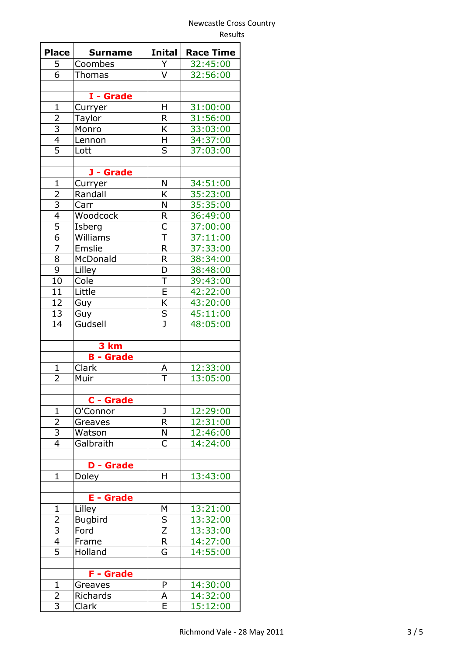| <b>Place</b>            | <b>Surname</b>                   | <b>Inital</b>           | <b>Race Time</b> |
|-------------------------|----------------------------------|-------------------------|------------------|
| 5                       | Coombes                          | Y                       | 32:45:00         |
| $\overline{6}$          | Thomas                           | V                       | 32:56:00         |
|                         |                                  |                         |                  |
|                         | I - Grade                        |                         |                  |
| $\mathbf 1$             | Curryer                          | H                       | 31:00:00         |
| $\overline{2}$          | Taylor                           | R                       | 31:56:00         |
| 3                       | Monro                            | K                       | 33:03:00         |
| $\overline{4}$          | Lennon                           | H                       | 34:37:00         |
| $\overline{5}$          | Lott                             | S                       | 37:03:00         |
|                         |                                  |                         |                  |
|                         | J - Grade                        |                         |                  |
| $\mathbf{1}$            | Curryer                          | Ν                       | 34:51:00         |
| $\overline{2}$          | Randall                          | K                       | 35:23:00         |
| $\frac{3}{4}$           | Carr                             | N                       | 35:35:00         |
|                         | Woodcock                         | R                       | 36:49:00         |
|                         | Isberg                           | $\mathsf{C}$            | 37:00:00         |
| $\frac{6}{7}$           | Williams                         | $\overline{\mathsf{T}}$ | 37:11:00         |
|                         | Emslie                           | $\overline{\mathsf{R}}$ | 37:33:00         |
| 8                       | McDonald                         | $\mathsf{R}$            | 38:34:00         |
| $\overline{9}$          | Lilley                           | $\overline{\mathsf{D}}$ | 38:48:00         |
| 10                      | Cole                             | $\overline{\mathsf{T}}$ | 39:43:00         |
| 11                      | Little                           | $\overline{\mathsf{E}}$ | 42:22:00         |
| 12                      | Guy                              | K                       | 43:20:00         |
| 13                      | Guy                              |                         | 45:11:00         |
| 14                      | Gudsell                          | $rac{S}{J}$             | 48:05:00         |
|                         |                                  |                         |                  |
|                         | 3 km                             |                         |                  |
|                         | <b>B</b> - Grade                 |                         |                  |
| $\mathbf{1}$            | Clark                            | A                       | 12:33:00         |
| 2                       | Muir                             | T                       | 13:05:00         |
|                         |                                  |                         |                  |
|                         | C - Grade                        |                         |                  |
| 1                       | O'Connor                         | J                       | 12:29:00         |
| $\overline{2}$          | Greaves                          | R                       | 12:31:00         |
| 3<br>$\overline{4}$     | Watson                           | N<br>Ċ                  | 12:46:00         |
|                         | Galbraith                        |                         | 14:24:00         |
|                         |                                  |                         |                  |
| $\mathbf{1}$            | <b>D</b> - Grade<br><b>Doley</b> | H                       | 13:43:00         |
|                         |                                  |                         |                  |
|                         | <b>E</b> - Grade                 |                         |                  |
| 1                       | Lilley                           | М                       | 13:21:00         |
| $\overline{2}$          | <b>Bugbird</b>                   | S                       | 13:32:00         |
| $\overline{\mathbf{3}}$ | Ford                             | $\overline{Z}$          | 13:33:00         |
| $\overline{4}$          | Frame                            | $\overline{\mathsf{R}}$ | 14:27:00         |
| $\overline{5}$          | Holland                          | Ġ                       | 14:55:00         |
|                         |                                  |                         |                  |
|                         | <b>F</b> - Grade                 |                         |                  |
| $\mathbf{1}$            | Greaves                          | P                       | 14:30:00         |
| $\overline{2}$          | Richards                         | А                       | 14:32:00         |
| 3                       | Clark                            | E                       | 15:12:00         |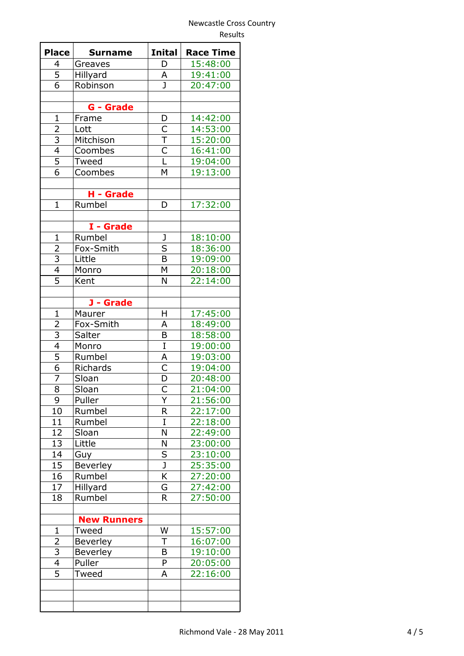| <b>Place</b>            | <b>Surname</b>     | <b>Inital</b>                      | <b>Race Time</b> |
|-------------------------|--------------------|------------------------------------|------------------|
| 4                       | Greaves            | D                                  | 15:48:00         |
| $\overline{5}$          | Hillyard           | А                                  | 19:41:00         |
| 6                       | Robinson           | J                                  | 20:47:00         |
|                         |                    |                                    |                  |
|                         | <b>G</b> - Grade   |                                    |                  |
| $\mathbf 1$             | Frame              | D                                  | 14:42:00         |
| $\overline{2}$          | Lott               | $\overline{\mathsf{C}}$            | 14:53:00         |
|                         | Mitchison          | $\overline{\mathsf{T}}$            | 15:20:00         |
| $\frac{3}{4}$           | Coombes            | $rac{C}{L}$                        | 16:41:00         |
| $\overline{5}$          | Tweed              |                                    | 19:04:00         |
| 6                       | Coombes            | M                                  | 19:13:00         |
|                         |                    |                                    |                  |
|                         | H - Grade          |                                    |                  |
| $\mathbf{1}$            | Rumbel             | D                                  | 17:32:00         |
|                         |                    |                                    |                  |
|                         | I - Grade          |                                    |                  |
| $\mathbf{1}$            | Rumbel             | J                                  | 18:10:00         |
|                         | Fox-Smith          | $\overline{\mathsf{s}}$            | 18:36:00         |
| $\frac{2}{3}$           | Little             | $\overline{\mathsf{B}}$            | 19:09:00         |
| $\overline{4}$          | Monro              | M                                  | 20:18:00         |
| $\overline{5}$          | Kent               | N                                  | 22:14:00         |
|                         |                    |                                    |                  |
|                         | J - Grade          |                                    |                  |
| $\mathbf{1}$            | Maurer             | H                                  | 17:45:00         |
| $\overline{c}$          | Fox-Smith          | А                                  | 18:49:00         |
| $\overline{3}$          | Salter             | B                                  | 18:58:00         |
| $\overline{4}$          | Monro              | $\rm I$                            | 19:00:00         |
| $\overline{5}$          | Rumbel             | Α                                  | 19:03:00         |
| $\overline{6}$          | Richards           | $\overline{\overline{\mathsf{C}}}$ | 19:04:00         |
| $\overline{7}$          | Sloan              | $\overline{\mathsf{D}}$            | 20:48:00         |
| 8                       | Sloan              | C                                  | 21:04:00         |
| 9                       | Puller             | Y                                  | 21:56:00         |
| 10                      | Rumbel             | R                                  | 22:17:00         |
| 11                      | Rumbel             | Ι                                  | 22:18:00         |
| 12                      | Sloan              | N                                  | 22:49:00         |
| 13                      | Little             | N                                  | 23:00:00         |
| 14                      | Guy                | S                                  | 23:10:00         |
| 15                      | Beverley           | $\overline{\mathsf{J}}$            | 25:35:00         |
| 16                      | Rumbel             | K                                  | 27:20:00         |
| 17                      | Hillyard           | G                                  | 27:42:00         |
| 18                      | Rumbel             | R                                  | 27:50:00         |
|                         |                    |                                    |                  |
|                         | <b>New Runners</b> |                                    |                  |
| $\mathbf{1}$            | Tweed              | W                                  | 15:57:00         |
| 2                       | Beverley           | Τ                                  | 16:07:00         |
| $\overline{\mathbf{3}}$ | <b>Beverley</b>    | B                                  | 19:10:00         |
| $\overline{4}$          | Puller             | P                                  | 20:05:00         |
| $\overline{5}$          | Tweed              | A                                  | 22:16:00         |
|                         |                    |                                    |                  |
|                         |                    |                                    |                  |
|                         |                    |                                    |                  |